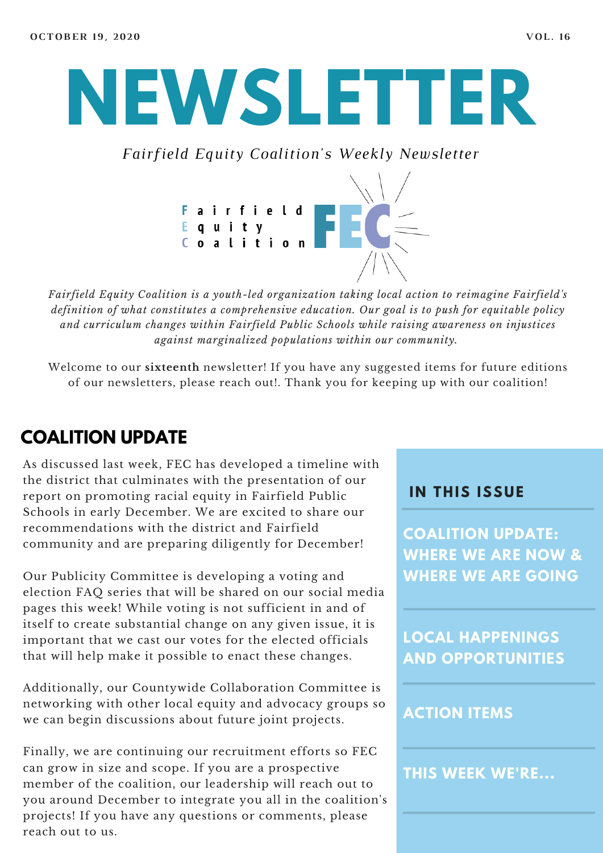

*Fairfield Equity Coalition's Weekly Newsletter*



*Fairfield Equity Coalition is a youth-led organization taking local action to reimagine Fairfield's definition of what constitutes a comprehensive education. Our goal is to push for equitable policy and curriculum changes within Fairfield Public Schools while raising awareness on injustices against marginalized populations within our community.*

Welcome to our **sixteenth** newsletter! If you have any suggested items for future editions of our newsletters, please reach out!. Thank you for keeping up with our coalition!

#### **COALITION UPDATE**

As discussed last week, FEC has developed a timeline with the district that culminates with the presentation of our report on promoting racial equity in Fairfield Public Schools in early December. We are excited to share our recommendations with the district and Fairfield community and are preparing diligently for December!

Our Publicity Committee is developing a voting and election FAQ series that will be shared on our social media pages this week! While voting is not sufficient in and of itself to create substantial change on any given issue, it is important that we cast our votes for the elected officials that will help make it possible to enact these changes.

Additionally, our Countywide Collaboration Committee is networking with other local equity and advocacy groups so we can begin discussions about future joint projects.

Finally, we are continuing our recruitment efforts so FEC can grow in size and scope. If you are a prospective member of the coalition, our leadership will reach out to you around December to integrate you all in the coalition's projects! If you have any questions or comments, please reach out to us.

#### **I N THIS ISSUE**

**COALITION UPDATE: WHERE WE ARE NOW & WHERE WE ARE GOING**

**LOCAL HAPPENINGS AND OPPORTUNITIES**

#### **ACTION ITEMS**

**THIS WEEK WE'RE...**